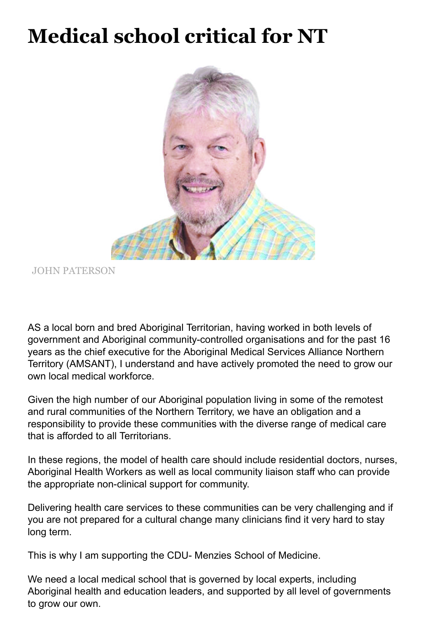## **Medical school critical for NT**



JOHN PATERSON

AS a local born and bred Aboriginal Territorian, having worked in both levels of government and Aboriginal community-controlled organisations and for the past 16 years as the chief executive for the Aboriginal Medical Services Alliance Northern Territory (AMSANT), I understand and have actively promoted the need to grow our own local medical workforce.

Given the high number of our Aboriginal population living in some of the remotest and rural communities of the Northern Territory, we have an obligation and a responsibility to provide these communities with the diverse range of medical care that is afforded to all Territorians.

In these regions, the model of health care should include residential doctors, nurses, Aboriginal Health Workers as well as local community liaison staff who can provide the appropriate non-clinical support for community.

Delivering health care services to these communities can be very challenging and if you are not prepared for a cultural change many clinicians find it very hard to stay long term.

This is why I am supporting the CDU- Menzies School of Medicine.

We need a local medical school that is governed by local experts, including Aboriginal health and education leaders, and supported by all level of governments to grow our own.